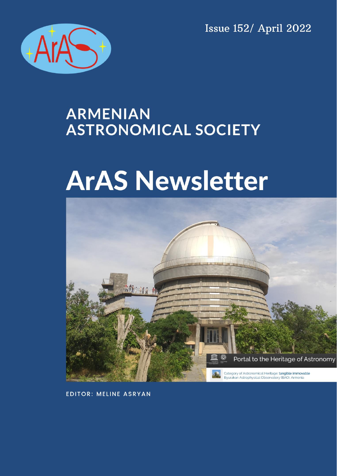**Issue 152/ April 2022** 



# **ARMENIAN ASTRONOMICAL SOCIETY**

# **ArAS Newsletter**



**EDITOR: MELINE ASRYAN**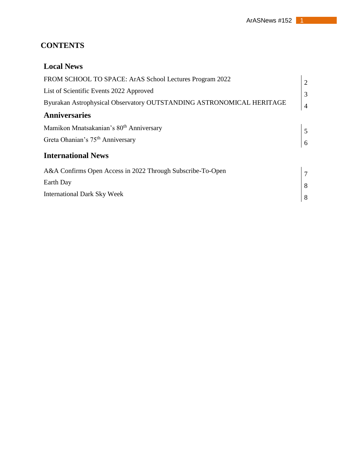#### **CONTENTS**

| <b>Local News</b>                                                    |                |
|----------------------------------------------------------------------|----------------|
| FROM SCHOOL TO SPACE: ArAS School Lectures Program 2022              | $\overline{c}$ |
| List of Scientific Events 2022 Approved                              | $\overline{3}$ |
| Byurakan Astrophysical Observatory OUTSTANDING ASTRONOMICAL HERITAGE | $\overline{4}$ |
| <b>Anniversaries</b>                                                 |                |
| Mamikon Mnatsakanian's 80 <sup>th</sup> Anniversary                  | 5              |
| Greta Ohanian's 75 <sup>th</sup> Anniversary                         |                |
| <b>International News</b>                                            |                |
| A&A Confirms Open Access in 2022 Through Subscribe-To-Open           | $\overline{7}$ |
| Earth Day                                                            | 8              |
| <b>International Dark Sky Week</b>                                   | 8              |
|                                                                      |                |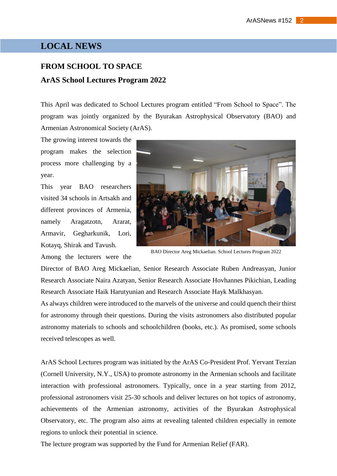#### **LOCAL NEWS**

## **FROM SCHOOL TO SPACE ArAS School Lectures Program 2022**

This April was dedicated to School Lectures program entitled "From School to Space". The program was jointly organized by the Byurakan Astrophysical Observatory (BAO) and Armenian Astronomical Society (ArAS).

The growing interest towards the program makes the selection process more challenging by a year.

This year BAO researchers visited 34 schools in Artsakh and different provinces of Armenia, namely Aragatzotn, Ararat, Armavir, Gegharkunik, Lori, Kotayq, Shirak and Tavush.

Among the lecturers were the



BAO Director Areg Mickaelian. School Lectures Program 2022

Director of BAO Areg Mickaelian, Senior Research Associate Ruben Andreasyan, Junior Research Associate Naira Azatyan, Senior Research Associate Hovhannes Pikichian, Leading Research Associate Haik Harutyunian and Research Associate Hayk Malkhasyan.

As always children were introduced to the marvels of the universe and could quench their thirst for astronomy through their questions. During the visits astronomers also distributed popular astronomy materials to schools and schoolchildren (books, etc.). As promised, some schools received telescopes as well.

ArAS School Lectures program was initiated by the ArAS Co-President Prof. Yervant Terzian (Cornell University, N.Y., USA) to promote astronomy in the Armenian schools and facilitate interaction with professional astronomers. Typically, once in a year starting from 2012, professional astronomers visit 25-30 schools and deliver lectures on hot topics of astronomy, achievements of the Armenian astronomy, activities of the Byurakan Astrophysical Observatory, etc. The program also aims at revealing talented children especially in remote regions to unlock their potential in science.

The lecture program was supported by the Fund for Armenian Relief (FAR).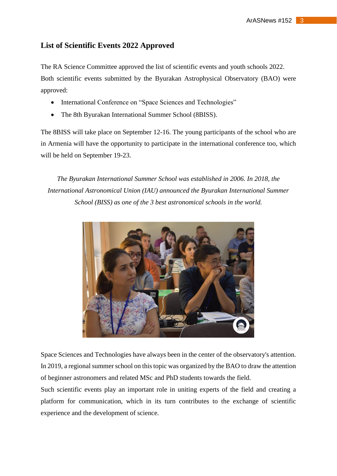#### **List of Scientific Events 2022 Approved**

The RA Science Committee approved the list of scientific events and youth schools 2022. Both scientific events submitted by the Byurakan Astrophysical Observatory (BAO) were approved:

- International Conference on "Space Sciences and Technologies"
- The 8th Byurakan International Summer School (8BISS).

The 8BISS will take place on September 12-16. The young participants of the school who are in Armenia will have the opportunity to participate in the international conference too, which will be held on September 19-23.

*The Byurakan International Summer School was established in 2006. In 2018, the International Astronomical Union (IAU) announced the Byurakan International Summer School (BISS) as one of the 3 best astronomical schools in the world.*



Space Sciences and Technologies have always been in the center of the observatory's attention. In 2019, a regional summer school on this topic was organized by the BAO to draw the attention of beginner astronomers and related MSc and PhD students towards the field.

Such scientific events play an important role in uniting experts of the field and creating a platform for communication, which in its turn contributes to the exchange of scientific experience and the development of science.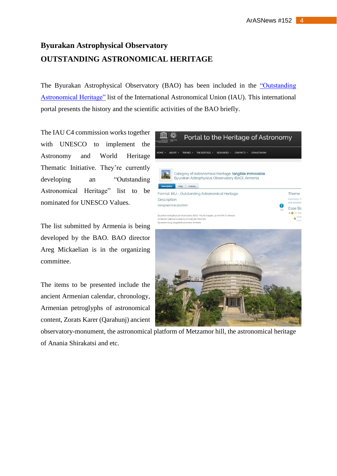# **Byurakan Astrophysical Observatory OUTSTANDING ASTRONOMICAL HERITAGE**

The Byurakan Astrophysical Observatory (BAO) has been included in the ["Outstanding](https://www3.astronomicalheritage.net/index.php/show-entity?identity=162&idsubentity=1)  [Astronomical Heritage"](https://www3.astronomicalheritage.net/index.php/show-entity?identity=162&idsubentity=1) list of the International Astronomical Union (IAU). This international portal presents the history and the scientific activities of the BAO briefly.

The IAU C4 commission works together with UNESCO to implement the Astronomy and World Heritage Thematic Initiative. They're currently developing an "Outstanding Astronomical Heritage" list to be nominated for UNESCO Values.

The list submitted by Armenia is being developed by the BAO. BAO director Areg Mickaelian is in the organizing committee.

The items to be presented include the ancient Armenian calendar, chronology, Armenian petroglyphs of astronomical content, Zorats Karer (Qarahunj) ancient





observatory-monument, the astronomical platform of Metzamor hill, the astronomical heritage of Anania Shirakatsi and etc.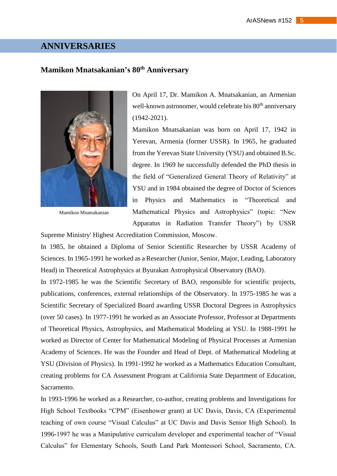#### **ANNIVERSARIES**

#### **Mamikon Mnatsakanian's 80th Anniversary**



Mamikon Mnatsakanian

On April 17, Dr. Mamikon A. Mnatsakanian, an Armenian well-known astronomer, would celebrate his 80<sup>th</sup> anniversary (1942-2021).

Mamikon Mnatsakanian was born on April 17, 1942 in Yerevan, Armenia (former USSR). In 1965, he graduated from the Yerevan State University (YSU) and obtained B.Sc. degree. In 1969 he successfully defended the PhD thesis in the field of "Generalized General Theory of Relativity" at YSU and in 1984 obtained the degree of Doctor of Sciences in Physics and Mathematics in "Theoretical and Mathematical Physics and Astrophysics" (topic: "New Apparatus in Radiation Transfer Theory") by USSR

Supreme Ministry' Highest Accreditation Commission, Moscow.

In 1985, he obtained a Diploma of Senior Scientific Researcher by USSR Academy of Sciences. In 1965-1991 he worked as a Researcher (Junior, Senior, Major, Leading, Laboratory Head) in Theoretical Astrophysics at Byurakan Astrophysical Observatory (BAO).

In 1972-1985 he was the Scientific Secretary of BAO, responsible for scientific projects, publications, conferences, external relationships of the Observatory. In 1975-1985 he was a Scientific Secretary of Specialized Board awarding USSR Doctoral Degrees in Astrophysics (over 50 cases). In 1977-1991 he worked as an Associate Professor, Professor at Departments of Theoretical Physics, Astrophysics, and Mathematical Modeling at YSU. In 1988-1991 he worked as Director of Center for Mathematical Modeling of Physical Processes at Armenian Academy of Sciences. He was the Founder and Head of Dept. of Mathematical Modeling at YSU (Division of Physics). In 1991-1992 he worked as a Mathematics Education Consultant, creating problems for CA Assessment Program at California State Department of Education, Sacramento.

In 1993-1996 he worked as a Researcher, co-author, creating problems and Investigations for High School Textbooks "CPM" (Eisenhower grant) at UC Davis, Davis, CA (Experimental teaching of own course "Visual Calculus" at UC Davis and Davis Senior High School). In 1996-1997 he was a Manipulative curriculum developer and experimental teacher of "Visual Calculus" for Elementary Schools, South Land Park Montessori School, Sacramento, CA.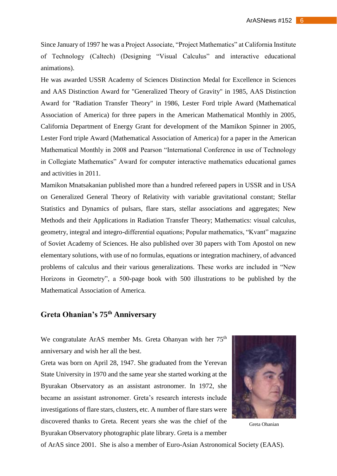Since January of 1997 he was a Project Associate, "Project Mathematics" at California Institute of Technology (Caltech) (Designing "Visual Calculus" and interactive educational animations).

He was awarded USSR Academy of Sciences Distinction Medal for Excellence in Sciences and AAS Distinction Award for "Generalized Theory of Gravity" in 1985, AAS Distinction Award for "Radiation Transfer Theory" in 1986, Lester Ford triple Award (Mathematical Association of America) for three papers in the American Mathematical Monthly in 2005, California Department of Energy Grant for development of the Mamikon Spinner in 2005, Lester Ford triple Award (Mathematical Association of America) for a paper in the American Mathematical Monthly in 2008 and Pearson "International Conference in use of Technology in Collegiate Mathematics" Award for computer interactive mathematics educational games and activities in 2011.

Mamikon Mnatsakanian published more than a hundred refereed papers in USSR and in USA on Generalized General Theory of Relativity with variable gravitational constant; Stellar Statistics and Dynamics of pulsars, flare stars, stellar associations and aggregates; New Methods and their Applications in Radiation Transfer Theory; Mathematics: visual calculus, geometry, integral and integro-differential equations; Popular mathematics, "Kvant" magazine of Soviet Academy of Sciences. He also published over 30 papers with Tom Apostol on new elementary solutions, with use of no formulas, equations or integration machinery, of advanced problems of calculus and their various generalizations. These works are included in "New Horizons in Geometry", a 500-page book with 500 illustrations to be published by the Mathematical Association of America.

### **Greta Ohanian's 75th Anniversary**

We congratulate ArAS member Ms. Greta Ohanyan with her 75<sup>th</sup> anniversary and wish her all the best.

Greta was born on April 28, 1947. She graduated from the Yerevan State University in 1970 and the same year she started working at the Byurakan Observatory as an assistant astronomer. In 1972, she became an assistant astronomer. Greta's research interests include investigations of flare stars, clusters, etc. A number of flare stars were discovered thanks to Greta. Recent years she was the chief of the Byurakan Observatory photographic plate library. Greta is a member



Greta Ohanian

of ArAS since 2001. She is also a member of Euro-Asian Astronomical Society (EAAS).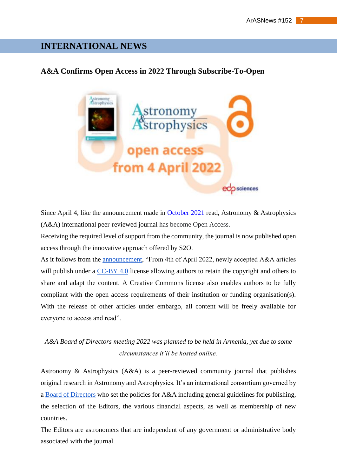#### **INTERNATIONAL NEWS**

#### **A&A Confirms Open Access in 2022 Through Subscribe-To-Open**



Since April 4, like the announcement made in [October 2021](https://www.edpsciences.org/en/news-highlights/2440-open-access-transformation-for-astronomy-astrophysics) read, Astronomy & Astrophysics (A&A) international peer-reviewed journal has become Open Access.

Receiving the required level of support from the community, the journal is now published open access through the innovative approach offered by S2O.

As it follows from the [announcement,](https://www.aanda.org/component/content/article/193-press-releases/2022-press-releases/2500-a-a-confirms-open-access-in-2022-through-subscribe-to-open) "From 4th of April 2022, newly accepted A&A articles will publish under a [CC-BY 4.0](https://creativecommons.org/licenses/by/4.0/) license allowing authors to retain the copyright and others to share and adapt the content. A Creative Commons license also enables authors to be fully compliant with the open access requirements of their institution or funding organisation(s). With the release of other articles under embargo, all content will be freely available for everyone to access and read".

#### *A&A Board of Directors meeting 2022 was planned to be held in Armenia, yet due to some circumstances it'll be hosted online.*

Astronomy & Astrophysics (A&A) is a peer-reviewed community journal that publishes original research in Astronomy and Astrophysics. It's an international consortium governed by a [Board of Directors](https://www.aanda.org/about-aa/board-of-directors) who set the policies for A&A including general guidelines for publishing, the selection of the Editors, the various financial aspects, as well as membership of new countries.

The Editors are astronomers that are independent of any government or administrative body associated with the journal.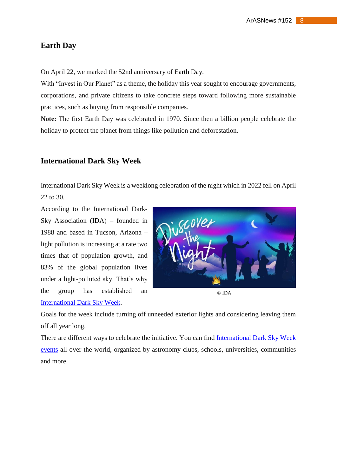#### **Earth Day**

On April 22, we marked the 52nd anniversary of Earth Day.

With "Invest in Our Planet" as a theme, the holiday this year sought to encourage governments, corporations, and private citizens to take concrete steps toward following more sustainable practices, such as buying from responsible companies.

**Note:** The first Earth Day was celebrated in 1970. Since then a billion people celebrate the holiday to protect the planet from things like pollution and deforestation.

#### **International Dark Sky Week**

International Dark Sky Week is a weeklong celebration of the night which in 2022 fell on April 22 to 30.

According to the International Dark-Sky Association (IDA) – founded in 1988 and based in Tucson, Arizona – light pollution is increasing at a rate two times that of population growth, and 83% of the global population lives under a light-polluted sky. That's why the group has established an [International Dark Sky Week.](https://idsw.darksky.org/events-2022/)



© IDA

Goals for the week include turning off unneeded exterior lights and considering leaving them off all year long.

There are different ways to celebrate the initiative. You can find [International Dark Sky Week](https://idsw.darksky.org/events-2022/)  [events](https://idsw.darksky.org/events-2022/) all over the world, organized by astronomy clubs, schools, universities, communities and more.